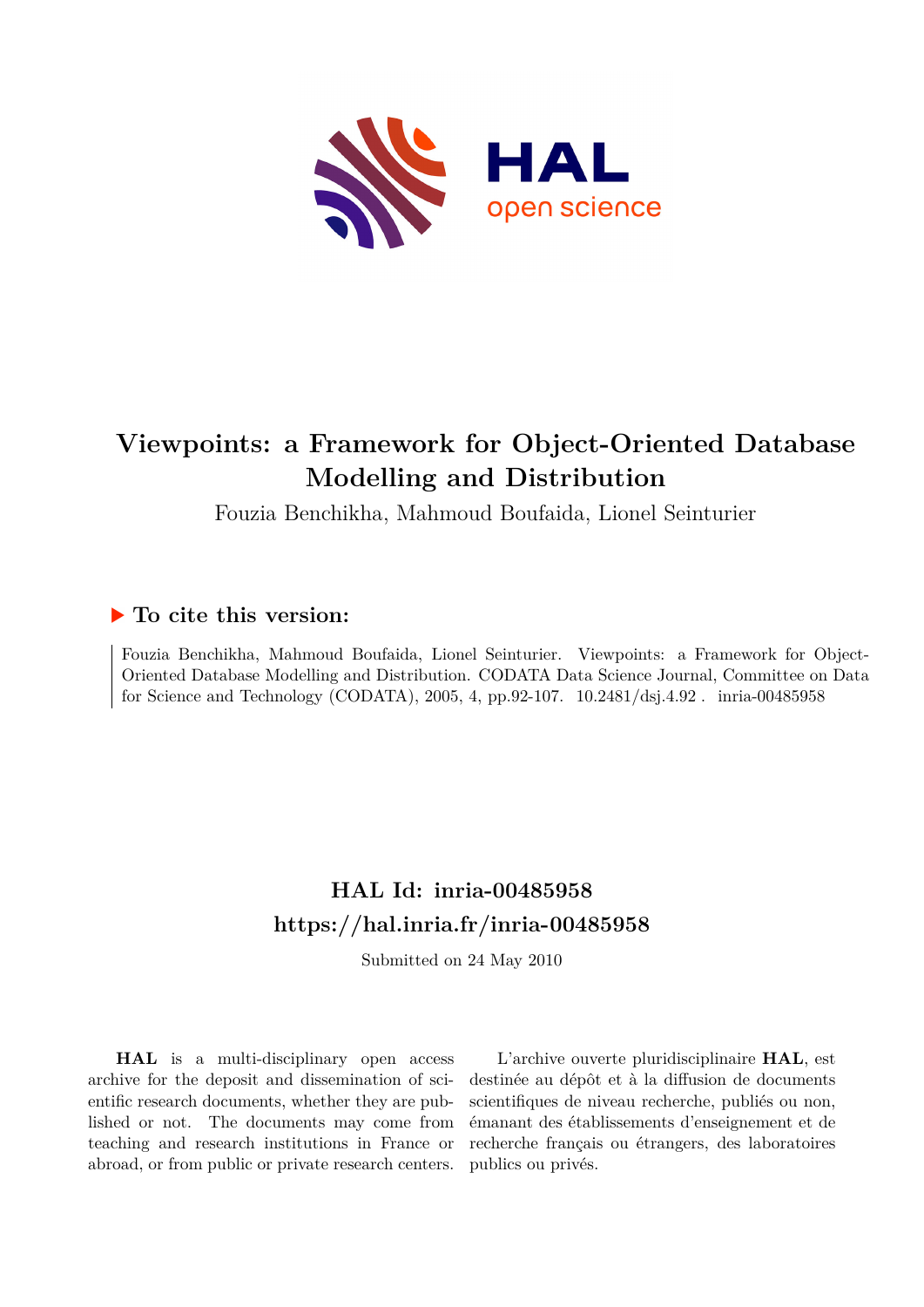

# **Viewpoints: a Framework for Object-Oriented Database Modelling and Distribution**

Fouzia Benchikha, Mahmoud Boufaida, Lionel Seinturier

## **To cite this version:**

Fouzia Benchikha, Mahmoud Boufaida, Lionel Seinturier. Viewpoints: a Framework for Object-Oriented Database Modelling and Distribution. CODATA Data Science Journal, Committee on Data for Science and Technology (CODATA), 2005, 4, pp.92-107.  $10.2481/dsj.4.92$ . inria-00485958

# **HAL Id: inria-00485958 <https://hal.inria.fr/inria-00485958>**

Submitted on 24 May 2010

**HAL** is a multi-disciplinary open access archive for the deposit and dissemination of scientific research documents, whether they are published or not. The documents may come from teaching and research institutions in France or abroad, or from public or private research centers.

L'archive ouverte pluridisciplinaire **HAL**, est destinée au dépôt et à la diffusion de documents scientifiques de niveau recherche, publiés ou non, émanant des établissements d'enseignement et de recherche français ou étrangers, des laboratoires publics ou privés.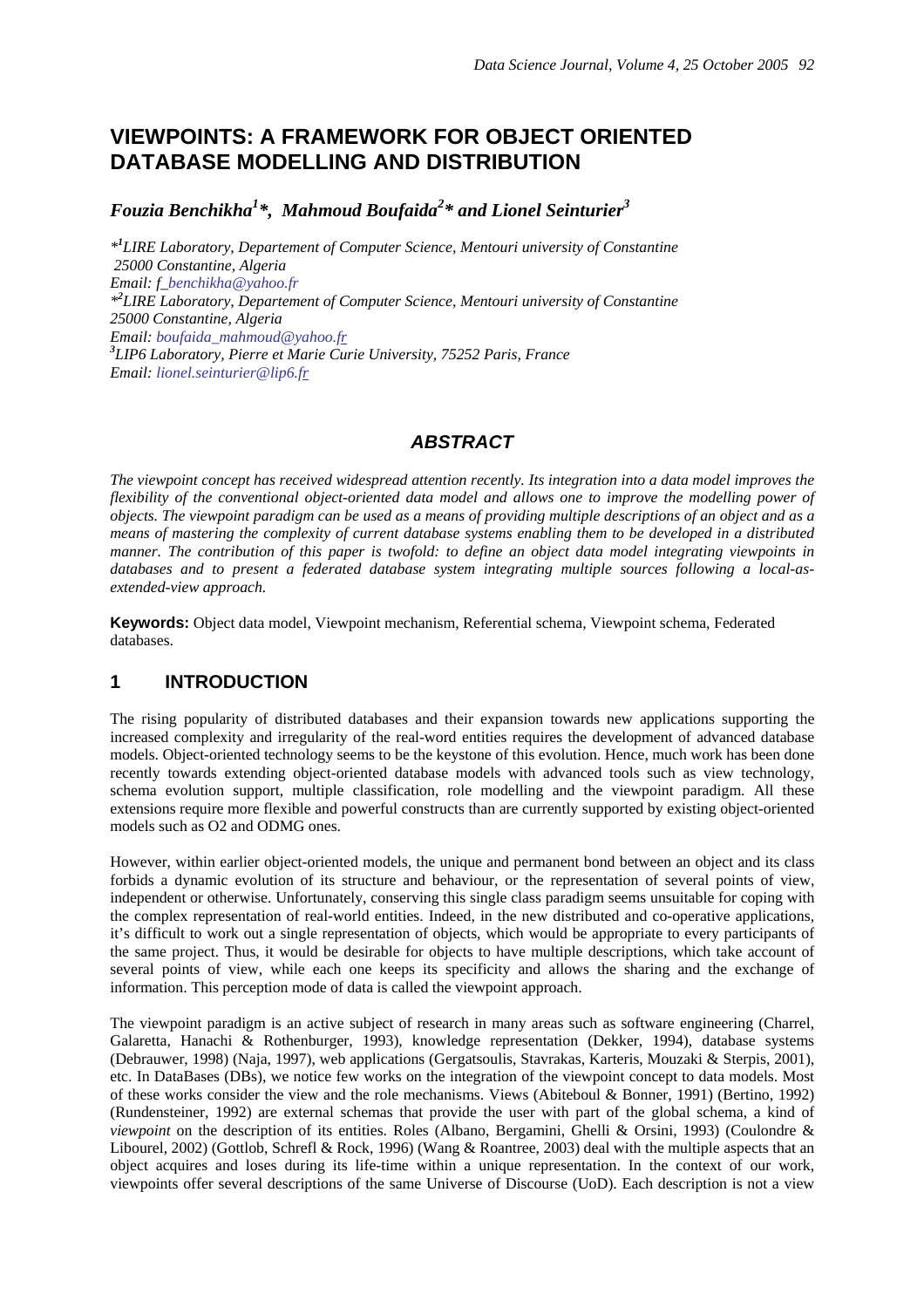## **VIEWPOINTS: A FRAMEWORK FOR OBJECT ORIENTED DATABASE MODELLING AND DISTRIBUTION**

*Fouzia Benchikha<sup>1</sup> \*, Mahmoud Boufaida<sup>2</sup> \* and Lionel Seinturier<sup>3</sup>*

*\*1 LIRE Laboratory, Departement of Computer Science, Mentouri university of Constantine 25000 Constantine, Algeria Email: f\_benchikha@yahoo.fr \*2 LIRE Laboratory, Departement of Computer Science, Mentouri university of Constantine 25000 Constantine, Algeria Email: boufaida\_mahmoud@yahoo.fr 3 LIP6 Laboratory, Pierre et Marie Curie University, 75252 Paris, France Email: lionel.seinturier@lip6.fr*

## *ABSTRACT*

*The viewpoint concept has received widespread attention recently. Its integration into a data model improves the flexibility of the conventional object-oriented data model and allows one to improve the modelling power of objects. The viewpoint paradigm can be used as a means of providing multiple descriptions of an object and as a means of mastering the complexity of current database systems enabling them to be developed in a distributed manner. The contribution of this paper is twofold: to define an object data model integrating viewpoints in databases and to present a federated database system integrating multiple sources following a local-asextended-view approach.* 

**Keywords:** Object data model, Viewpoint mechanism, Referential schema, Viewpoint schema, Federated databases.

## **1 INTRODUCTION**

The rising popularity of distributed databases and their expansion towards new applications supporting the increased complexity and irregularity of the real-word entities requires the development of advanced database models. Object-oriented technology seems to be the keystone of this evolution. Hence, much work has been done recently towards extending object-oriented database models with advanced tools such as view technology, schema evolution support, multiple classification, role modelling and the viewpoint paradigm. All these extensions require more flexible and powerful constructs than are currently supported by existing object-oriented models such as O2 and ODMG ones.

However, within earlier object-oriented models, the unique and permanent bond between an object and its class forbids a dynamic evolution of its structure and behaviour, or the representation of several points of view, independent or otherwise. Unfortunately, conserving this single class paradigm seems unsuitable for coping with the complex representation of real-world entities. Indeed, in the new distributed and co-operative applications, it's difficult to work out a single representation of objects, which would be appropriate to every participants of the same project. Thus, it would be desirable for objects to have multiple descriptions, which take account of several points of view, while each one keeps its specificity and allows the sharing and the exchange of information. This perception mode of data is called the viewpoint approach.

The viewpoint paradigm is an active subject of research in many areas such as software engineering (Charrel, Galaretta, Hanachi & Rothenburger, 1993), knowledge representation (Dekker, 1994), database systems (Debrauwer, 1998) (Naja, 1997), web applications (Gergatsoulis, Stavrakas, Karteris, Mouzaki & Sterpis, 2001), etc. In DataBases (DBs), we notice few works on the integration of the viewpoint concept to data models. Most of these works consider the view and the role mechanisms. Views (Abiteboul & Bonner, 1991) (Bertino, 1992) (Rundensteiner, 1992) are external schemas that provide the user with part of the global schema, a kind of *viewpoint* on the description of its entities. Roles (Albano, Bergamini, Ghelli & Orsini, 1993) (Coulondre & Libourel, 2002) (Gottlob, Schrefl & Rock, 1996) (Wang & Roantree, 2003) deal with the multiple aspects that an object acquires and loses during its life-time within a unique representation. In the context of our work, viewpoints offer several descriptions of the same Universe of Discourse (UoD). Each description is not a view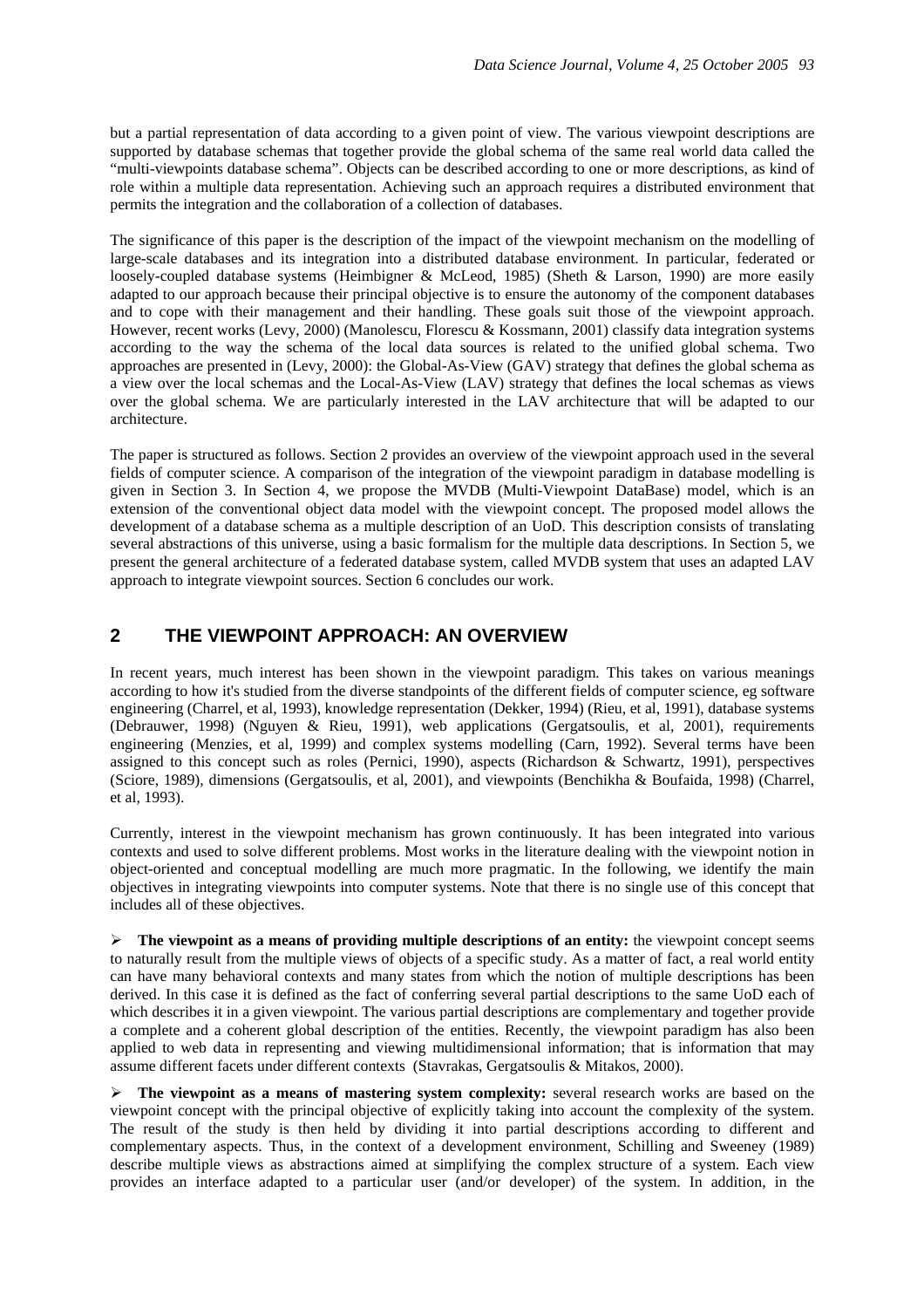but a partial representation of data according to a given point of view. The various viewpoint descriptions are supported by database schemas that together provide the global schema of the same real world data called the "multi-viewpoints database schema". Objects can be described according to one or more descriptions, as kind of role within a multiple data representation. Achieving such an approach requires a distributed environment that permits the integration and the collaboration of a collection of databases.

The significance of this paper is the description of the impact of the viewpoint mechanism on the modelling of large-scale databases and its integration into a distributed database environment. In particular, federated or loosely-coupled database systems (Heimbigner & McLeod, 1985) (Sheth & Larson, 1990) are more easily adapted to our approach because their principal objective is to ensure the autonomy of the component databases and to cope with their management and their handling. These goals suit those of the viewpoint approach. However, recent works (Levy, 2000) (Manolescu, Florescu & Kossmann, 2001) classify data integration systems according to the way the schema of the local data sources is related to the unified global schema. Two approaches are presented in (Levy, 2000): the Global-As-View (GAV) strategy that defines the global schema as a view over the local schemas and the Local-As-View (LAV) strategy that defines the local schemas as views over the global schema. We are particularly interested in the LAV architecture that will be adapted to our architecture.

The paper is structured as follows. Section 2 provides an overview of the viewpoint approach used in the several fields of computer science. A comparison of the integration of the viewpoint paradigm in database modelling is given in Section 3. In Section 4, we propose the MVDB (Multi-Viewpoint DataBase) model, which is an extension of the conventional object data model with the viewpoint concept. The proposed model allows the development of a database schema as a multiple description of an UoD. This description consists of translating several abstractions of this universe, using a basic formalism for the multiple data descriptions. In Section 5, we present the general architecture of a federated database system, called MVDB system that uses an adapted LAV approach to integrate viewpoint sources. Section 6 concludes our work.

## **2 THE VIEWPOINT APPROACH: AN OVERVIEW**

In recent years, much interest has been shown in the viewpoint paradigm. This takes on various meanings according to how it's studied from the diverse standpoints of the different fields of computer science, eg software engineering (Charrel, et al, 1993), knowledge representation (Dekker, 1994) (Rieu, et al, 1991), database systems (Debrauwer, 1998) (Nguyen & Rieu, 1991), web applications (Gergatsoulis, et al, 2001), requirements engineering (Menzies, et al, 1999) and complex systems modelling (Carn, 1992). Several terms have been assigned to this concept such as roles (Pernici, 1990), aspects (Richardson & Schwartz, 1991), perspectives (Sciore, 1989), dimensions (Gergatsoulis, et al, 2001), and viewpoints (Benchikha & Boufaida, 1998) (Charrel, et al, 1993).

Currently, interest in the viewpoint mechanism has grown continuously. It has been integrated into various contexts and used to solve different problems. Most works in the literature dealing with the viewpoint notion in object-oriented and conceptual modelling are much more pragmatic. In the following, we identify the main objectives in integrating viewpoints into computer systems. Note that there is no single use of this concept that includes all of these objectives.

 $\triangleright$  **The viewpoint as a means of providing multiple descriptions of an entity:** the viewpoint concept seems to naturally result from the multiple views of objects of a specific study. As a matter of fact, a real world entity can have many behavioral contexts and many states from which the notion of multiple descriptions has been derived. In this case it is defined as the fact of conferring several partial descriptions to the same UoD each of which describes it in a given viewpoint. The various partial descriptions are complementary and together provide a complete and a coherent global description of the entities. Recently, the viewpoint paradigm has also been applied to web data in representing and viewing multidimensional information; that is information that may assume different facets under different contexts (Stavrakas, Gergatsoulis & Mitakos, 2000).

¾ **The viewpoint as a means of mastering system complexity:** several research works are based on the viewpoint concept with the principal objective of explicitly taking into account the complexity of the system. The result of the study is then held by dividing it into partial descriptions according to different and complementary aspects. Thus, in the context of a development environment, Schilling and Sweeney (1989) describe multiple views as abstractions aimed at simplifying the complex structure of a system. Each view provides an interface adapted to a particular user (and/or developer) of the system. In addition, in the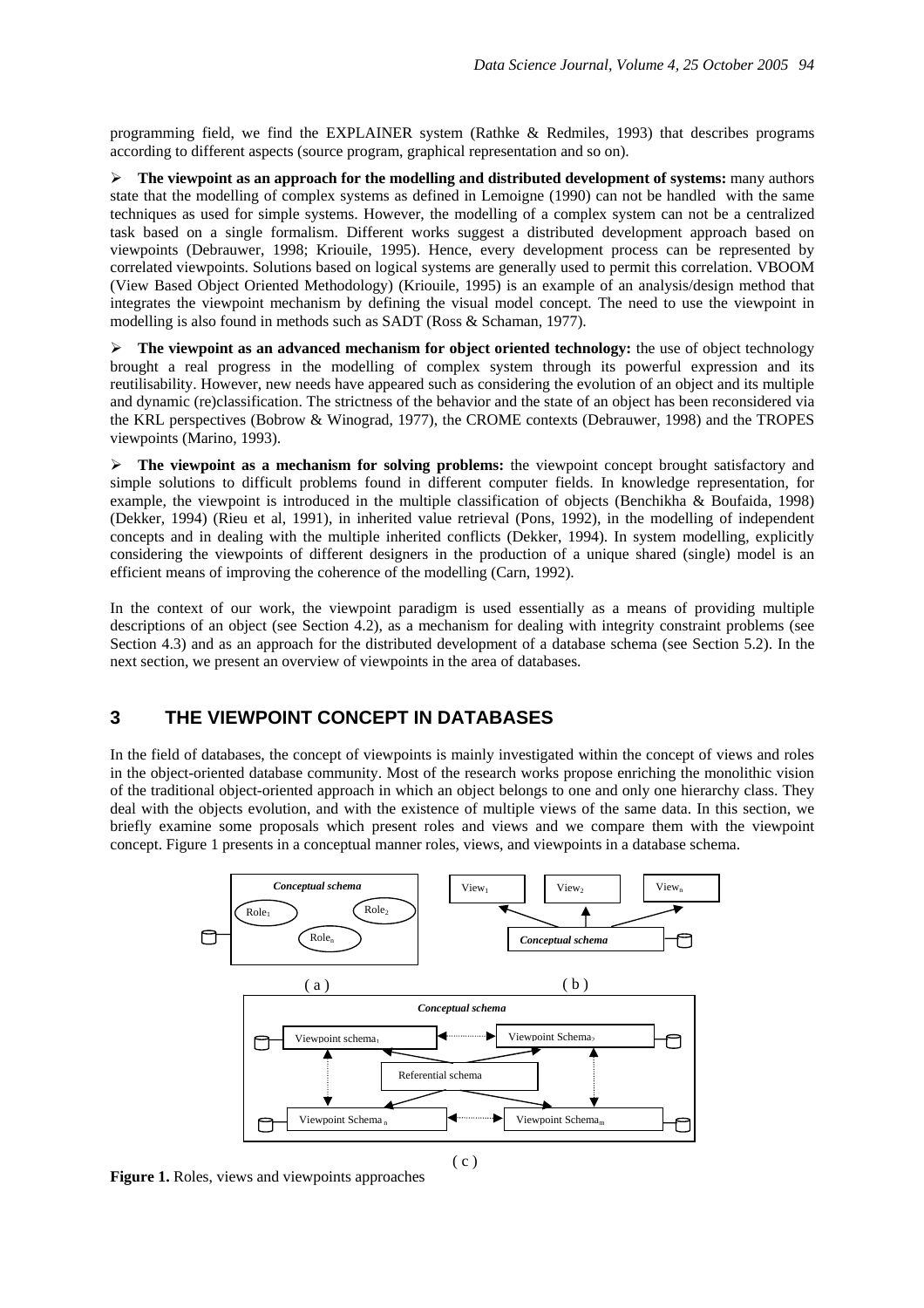programming field, we find the EXPLAINER system (Rathke & Redmiles, 1993) that describes programs according to different aspects (source program, graphical representation and so on).

¾ **The viewpoint as an approach for the modelling and distributed development of systems:** many authors state that the modelling of complex systems as defined in Lemoigne (1990) can not be handled with the same techniques as used for simple systems. However, the modelling of a complex system can not be a centralized task based on a single formalism. Different works suggest a distributed development approach based on viewpoints (Debrauwer, 1998; Kriouile, 1995). Hence, every development process can be represented by correlated viewpoints. Solutions based on logical systems are generally used to permit this correlation. VBOOM (View Based Object Oriented Methodology) (Kriouile, 1995) is an example of an analysis/design method that integrates the viewpoint mechanism by defining the visual model concept. The need to use the viewpoint in modelling is also found in methods such as SADT (Ross & Schaman, 1977).

 $\triangleright$  **The viewpoint as an advanced mechanism for object oriented technology:** the use of object technology brought a real progress in the modelling of complex system through its powerful expression and its reutilisability. However, new needs have appeared such as considering the evolution of an object and its multiple and dynamic (re)classification. The strictness of the behavior and the state of an object has been reconsidered via the KRL perspectives (Bobrow & Winograd, 1977), the CROME contexts (Debrauwer, 1998) and the TROPES viewpoints (Marino, 1993).

¾ **The viewpoint as a mechanism for solving problems:** the viewpoint concept brought satisfactory and simple solutions to difficult problems found in different computer fields. In knowledge representation, for example, the viewpoint is introduced in the multiple classification of objects (Benchikha & Boufaida, 1998) (Dekker, 1994) (Rieu et al, 1991), in inherited value retrieval (Pons, 1992), in the modelling of independent concepts and in dealing with the multiple inherited conflicts (Dekker, 1994). In system modelling, explicitly considering the viewpoints of different designers in the production of a unique shared (single) model is an efficient means of improving the coherence of the modelling (Carn, 1992).

In the context of our work, the viewpoint paradigm is used essentially as a means of providing multiple descriptions of an object (see Section 4.2), as a mechanism for dealing with integrity constraint problems (see Section 4.3) and as an approach for the distributed development of a database schema (see Section 5.2). In the next section, we present an overview of viewpoints in the area of databases.

## **3 THE VIEWPOINT CONCEPT IN DATABASES**

In the field of databases, the concept of viewpoints is mainly investigated within the concept of views and roles in the object-oriented database community. Most of the research works propose enriching the monolithic vision of the traditional object-oriented approach in which an object belongs to one and only one hierarchy class. They deal with the objects evolution, and with the existence of multiple views of the same data. In this section, we briefly examine some proposals which present roles and views and we compare them with the viewpoint concept. Figure 1 presents in a conceptual manner roles, views, and viewpoints in a database schema.



**Figure 1.** Roles, views and viewpoints approaches

( c )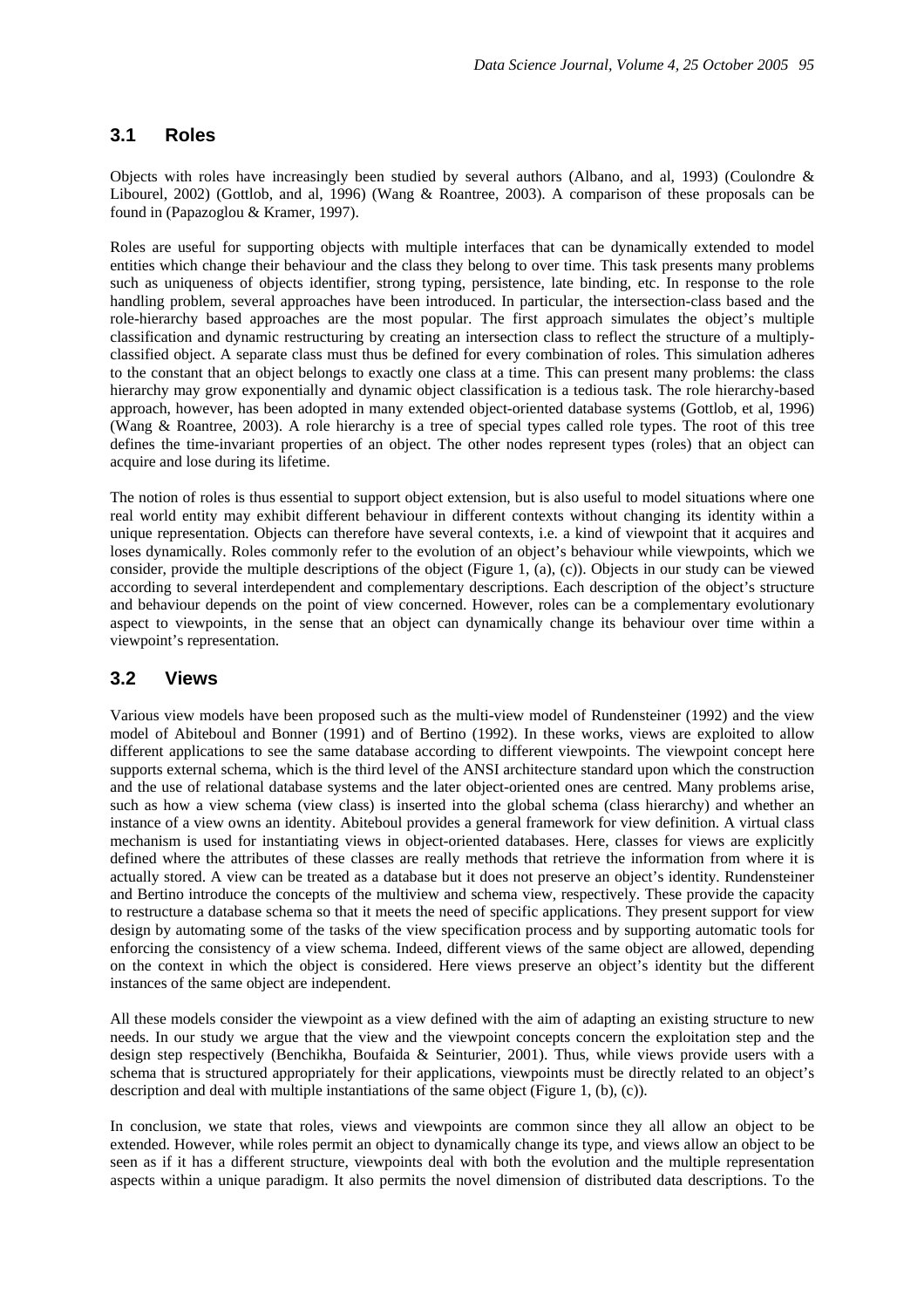### **3.1 Roles**

Objects with roles have increasingly been studied by several authors (Albano, and al, 1993) (Coulondre & Libourel, 2002) (Gottlob, and al, 1996) (Wang & Roantree, 2003). A comparison of these proposals can be found in (Papazoglou & Kramer, 1997).

Roles are useful for supporting objects with multiple interfaces that can be dynamically extended to model entities which change their behaviour and the class they belong to over time. This task presents many problems such as uniqueness of objects identifier, strong typing, persistence, late binding, etc. In response to the role handling problem, several approaches have been introduced. In particular, the intersection-class based and the role-hierarchy based approaches are the most popular. The first approach simulates the object's multiple classification and dynamic restructuring by creating an intersection class to reflect the structure of a multiplyclassified object. A separate class must thus be defined for every combination of roles. This simulation adheres to the constant that an object belongs to exactly one class at a time. This can present many problems: the class hierarchy may grow exponentially and dynamic object classification is a tedious task. The role hierarchy-based approach, however, has been adopted in many extended object-oriented database systems (Gottlob, et al, 1996) (Wang & Roantree, 2003). A role hierarchy is a tree of special types called role types. The root of this tree defines the time-invariant properties of an object. The other nodes represent types (roles) that an object can acquire and lose during its lifetime.

The notion of roles is thus essential to support object extension, but is also useful to model situations where one real world entity may exhibit different behaviour in different contexts without changing its identity within a unique representation. Objects can therefore have several contexts, i.e. a kind of viewpoint that it acquires and loses dynamically. Roles commonly refer to the evolution of an object's behaviour while viewpoints, which we consider, provide the multiple descriptions of the object (Figure 1, (a), (c)). Objects in our study can be viewed according to several interdependent and complementary descriptions. Each description of the object's structure and behaviour depends on the point of view concerned. However, roles can be a complementary evolutionary aspect to viewpoints, in the sense that an object can dynamically change its behaviour over time within a viewpoint's representation.

## **3.2 Views**

Various view models have been proposed such as the multi-view model of Rundensteiner (1992) and the view model of Abiteboul and Bonner (1991) and of Bertino (1992). In these works, views are exploited to allow different applications to see the same database according to different viewpoints. The viewpoint concept here supports external schema, which is the third level of the ANSI architecture standard upon which the construction and the use of relational database systems and the later object-oriented ones are centred. Many problems arise, such as how a view schema (view class) is inserted into the global schema (class hierarchy) and whether an instance of a view owns an identity. Abiteboul provides a general framework for view definition. A virtual class mechanism is used for instantiating views in object-oriented databases. Here, classes for views are explicitly defined where the attributes of these classes are really methods that retrieve the information from where it is actually stored. A view can be treated as a database but it does not preserve an object's identity. Rundensteiner and Bertino introduce the concepts of the multiview and schema view, respectively. These provide the capacity to restructure a database schema so that it meets the need of specific applications. They present support for view design by automating some of the tasks of the view specification process and by supporting automatic tools for enforcing the consistency of a view schema. Indeed, different views of the same object are allowed, depending on the context in which the object is considered. Here views preserve an object's identity but the different instances of the same object are independent.

All these models consider the viewpoint as a view defined with the aim of adapting an existing structure to new needs. In our study we argue that the view and the viewpoint concepts concern the exploitation step and the design step respectively (Benchikha, Boufaida & Seinturier, 2001). Thus, while views provide users with a schema that is structured appropriately for their applications, viewpoints must be directly related to an object's description and deal with multiple instantiations of the same object (Figure 1, (b), (c)).

In conclusion, we state that roles, views and viewpoints are common since they all allow an object to be extended. However, while roles permit an object to dynamically change its type, and views allow an object to be seen as if it has a different structure, viewpoints deal with both the evolution and the multiple representation aspects within a unique paradigm. It also permits the novel dimension of distributed data descriptions. To the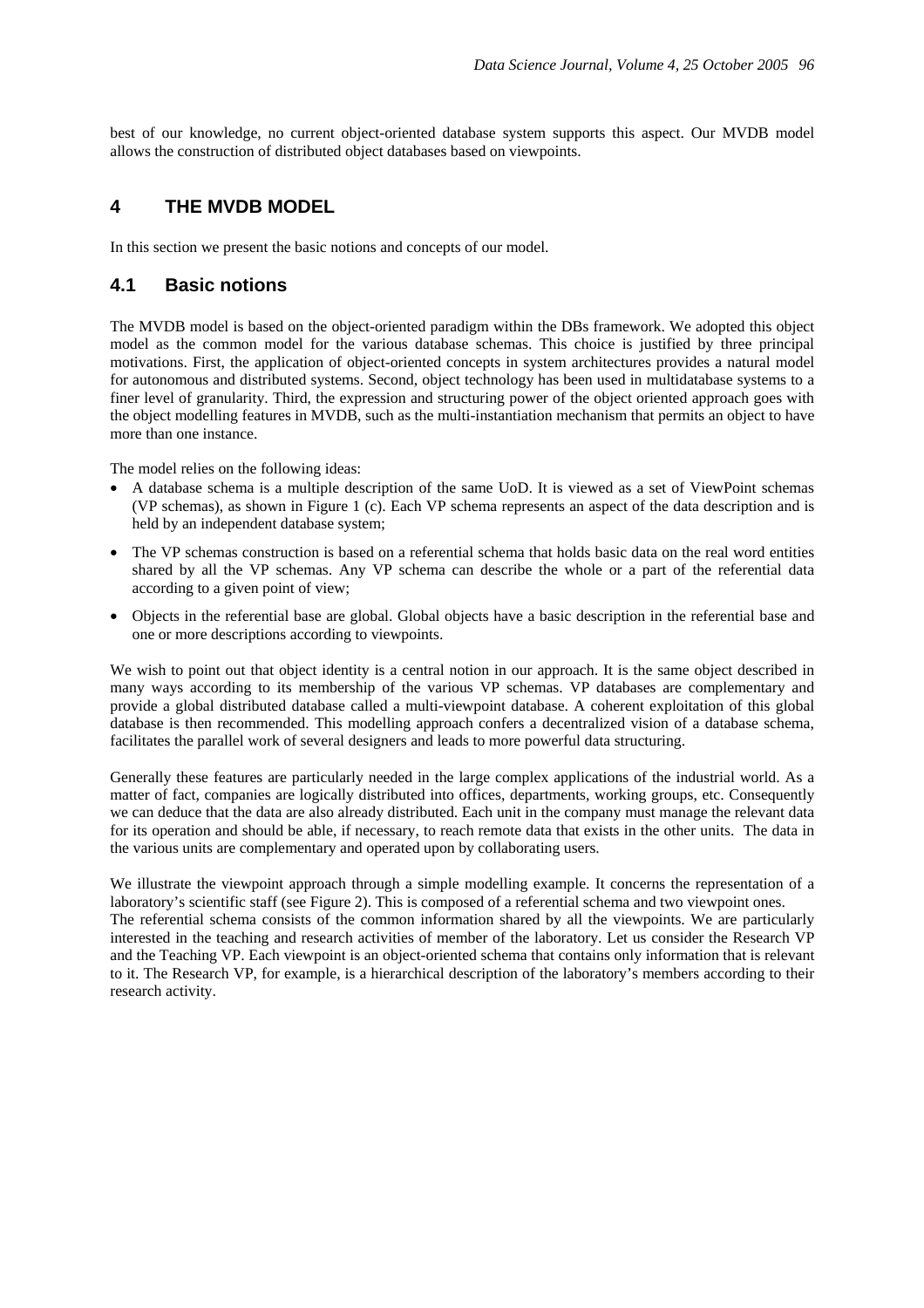best of our knowledge, no current object-oriented database system supports this aspect. Our MVDB model allows the construction of distributed object databases based on viewpoints.

## **4 THE MVDB MODEL**

In this section we present the basic notions and concepts of our model.

## **4.1 Basic notions**

The MVDB model is based on the object-oriented paradigm within the DBs framework. We adopted this object model as the common model for the various database schemas. This choice is justified by three principal motivations. First, the application of object-oriented concepts in system architectures provides a natural model for autonomous and distributed systems. Second, object technology has been used in multidatabase systems to a finer level of granularity. Third, the expression and structuring power of the object oriented approach goes with the object modelling features in MVDB, such as the multi-instantiation mechanism that permits an object to have more than one instance.

The model relies on the following ideas:

- A database schema is a multiple description of the same UoD. It is viewed as a set of ViewPoint schemas (VP schemas), as shown in Figure 1 (c). Each VP schema represents an aspect of the data description and is held by an independent database system;
- The VP schemas construction is based on a referential schema that holds basic data on the real word entities shared by all the VP schemas. Any VP schema can describe the whole or a part of the referential data according to a given point of view;
- Objects in the referential base are global. Global objects have a basic description in the referential base and one or more descriptions according to viewpoints.

We wish to point out that object identity is a central notion in our approach. It is the same object described in many ways according to its membership of the various VP schemas. VP databases are complementary and provide a global distributed database called a multi-viewpoint database. A coherent exploitation of this global database is then recommended. This modelling approach confers a decentralized vision of a database schema, facilitates the parallel work of several designers and leads to more powerful data structuring.

Generally these features are particularly needed in the large complex applications of the industrial world. As a matter of fact, companies are logically distributed into offices, departments, working groups, etc. Consequently we can deduce that the data are also already distributed. Each unit in the company must manage the relevant data for its operation and should be able, if necessary, to reach remote data that exists in the other units. The data in the various units are complementary and operated upon by collaborating users.

We illustrate the viewpoint approach through a simple modelling example. It concerns the representation of a laboratory's scientific staff (see Figure 2). This is composed of a referential schema and two viewpoint ones. The referential schema consists of the common information shared by all the viewpoints. We are particularly interested in the teaching and research activities of member of the laboratory. Let us consider the Research VP and the Teaching VP. Each viewpoint is an object-oriented schema that contains only information that is relevant to it. The Research VP, for example, is a hierarchical description of the laboratory's members according to their research activity.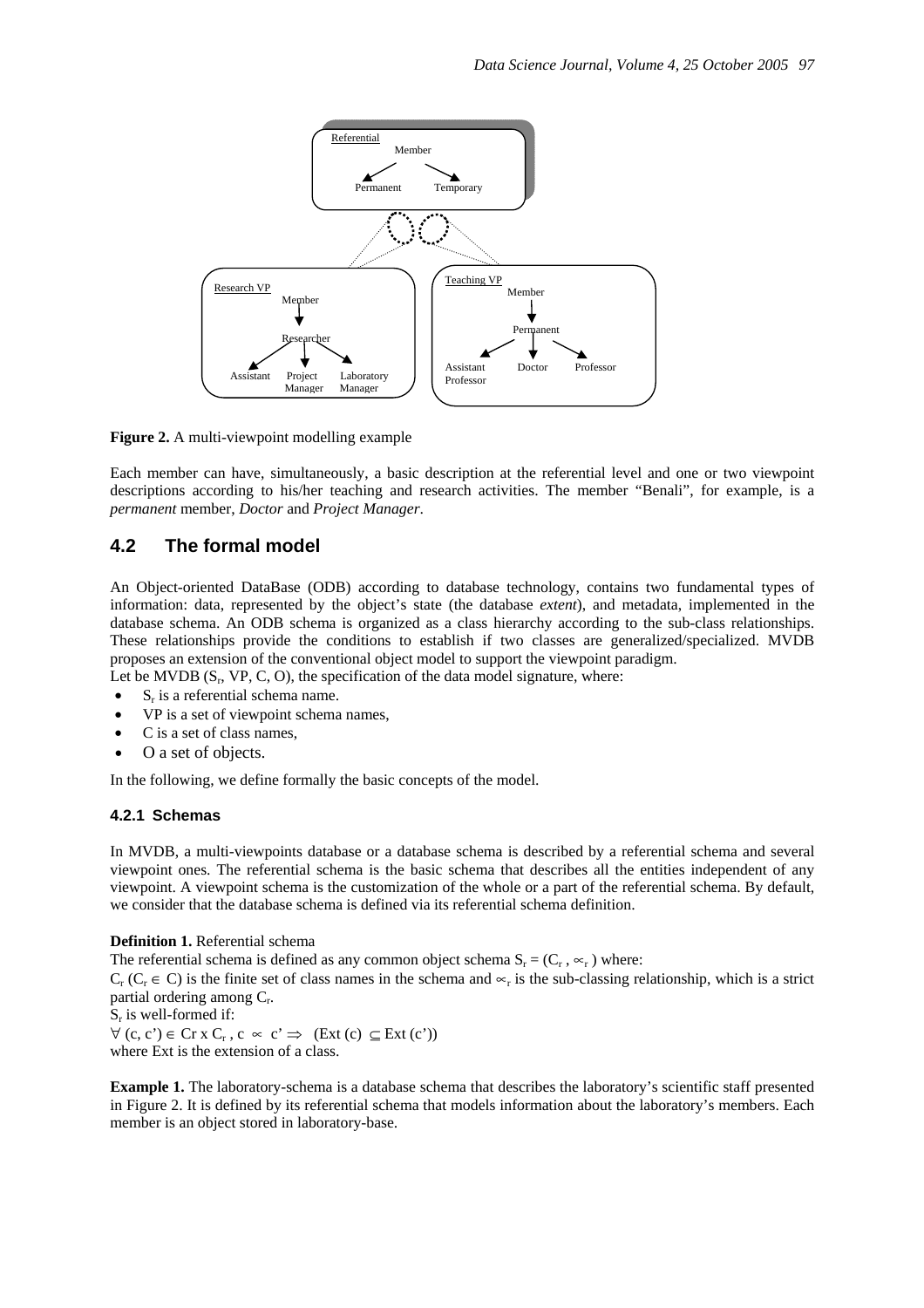

**Figure 2.** A multi-viewpoint modelling example

Each member can have, simultaneously, a basic description at the referential level and one or two viewpoint descriptions according to his/her teaching and research activities. The member "Benali", for example, is a *permanent* member, *Doctor* and *Project Manager*.

## **4.2 The formal model**

An Object-oriented DataBase (ODB) according to database technology, contains two fundamental types of information: data, represented by the object's state (the database *extent*), and metadata, implemented in the database schema. An ODB schema is organized as a class hierarchy according to the sub-class relationships. These relationships provide the conditions to establish if two classes are generalized/specialized. MVDB proposes an extension of the conventional object model to support the viewpoint paradigm. Let be MVDB  $(S_r, VP, C, O)$ , the specification of the data model signature, where:

- S<sub>r</sub> is a referential schema name.
- VP is a set of viewpoint schema names,
- C is a set of class names,
- O a set of objects.

In the following, we define formally the basic concepts of the model.

#### **4.2.1 Schemas**

In MVDB, a multi-viewpoints database or a database schema is described by a referential schema and several viewpoint ones. The referential schema is the basic schema that describes all the entities independent of any viewpoint. A viewpoint schema is the customization of the whole or a part of the referential schema. By default, we consider that the database schema is defined via its referential schema definition.

**Definition 1.** Referential schema

The referential schema is defined as any common object schema  $S_r = (C_r, \infty_r)$  where:

 $C_r$  ( $C_r \in C$ ) is the finite set of class names in the schema and  $\propto_r$  is the sub-classing relationship, which is a strict partial ordering among Cr.

 $S_r$  is well-formed if:  $\forall$  (c, c')  $\in$  Cr x C<sub>r</sub>, c  $\in$  c'  $\Rightarrow$  (Ext (c)  $\subseteq$  Ext (c')) where Ext is the extension of a class.

**Example 1.** The laboratory-schema is a database schema that describes the laboratory's scientific staff presented in Figure 2. It is defined by its referential schema that models information about the laboratory's members. Each member is an object stored in laboratory-base.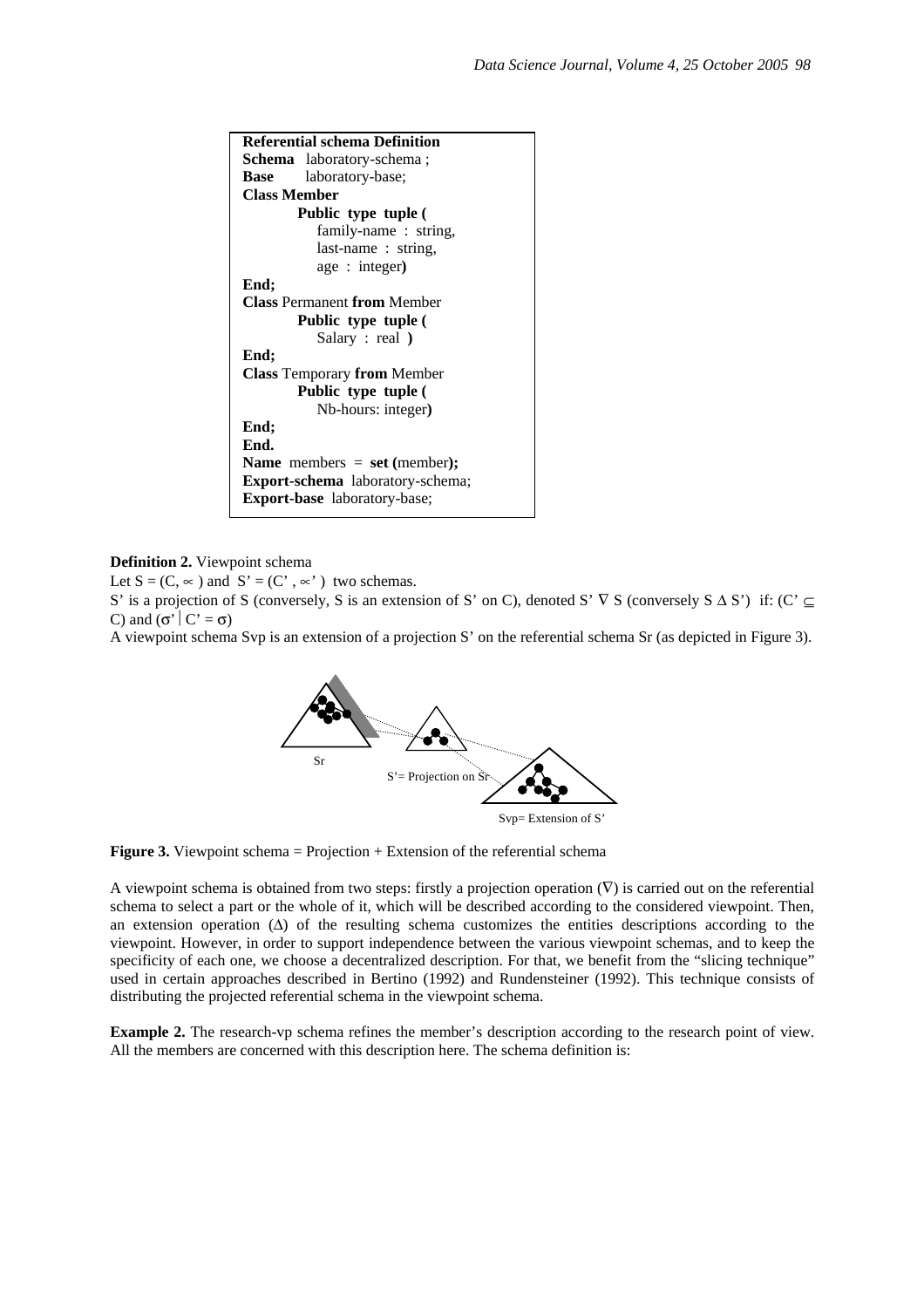

**Definition 2.** Viewpoint schema

Let  $S = (C, \infty)$  and  $S' = (C', \infty')$  two schemas.

S' is a projection of S (conversely, S is an extension of S' on C), denoted S'  $\nabla S$  (conversely S  $\Delta S'$ ) if: (C' ⊆ C) and  $(\sigma' | C' = \sigma)$ 

A viewpoint schema Svp is an extension of a projection S' on the referential schema Sr (as depicted in Figure 3).



**Figure 3.** Viewpoint schema = Projection + Extension of the referential schema

A viewpoint schema is obtained from two steps: firstly a projection operation  $(\nabla)$  is carried out on the referential schema to select a part or the whole of it, which will be described according to the considered viewpoint. Then, an extension operation (∆) of the resulting schema customizes the entities descriptions according to the viewpoint. However, in order to support independence between the various viewpoint schemas, and to keep the specificity of each one, we choose a decentralized description. For that, we benefit from the "slicing technique" used in certain approaches described in Bertino (1992) and Rundensteiner (1992). This technique consists of distributing the projected referential schema in the viewpoint schema.

**Example 2.** The research-vp schema refines the member's description according to the research point of view. All the members are concerned with this description here. The schema definition is: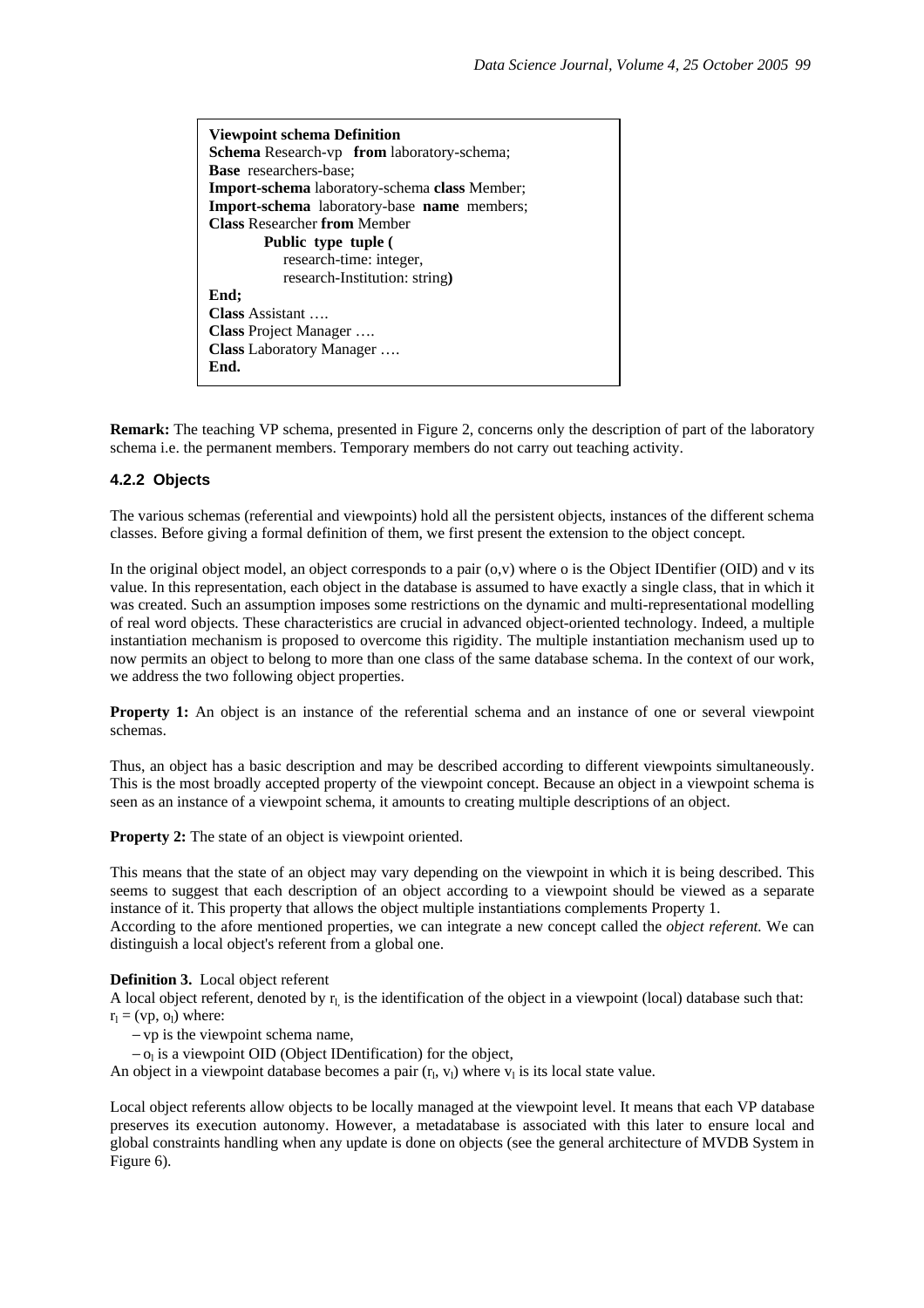**Viewpoint schema Definition Schema** Research-vp **from** laboratory-schema; **Base** researchers-base; **Import-schema** laboratory-schema **class** Member; **Import-schema** laboratory-base **name** members; **Class** Researcher **from** Member  **Public type tuple (**  research-time: integer, research-Institution: string**) End; Class** Assistant …. **Class** Project Manager …. **Class** Laboratory Manager …. **End.** 

**Remark:** The teaching VP schema, presented in Figure 2, concerns only the description of part of the laboratory schema i.e. the permanent members. Temporary members do not carry out teaching activity.

#### **4.2.2 Objects**

The various schemas (referential and viewpoints) hold all the persistent objects, instances of the different schema classes. Before giving a formal definition of them, we first present the extension to the object concept.

In the original object model, an object corresponds to a pair  $(o, v)$  where o is the Object IDentifier (OID) and v its value. In this representation, each object in the database is assumed to have exactly a single class, that in which it was created. Such an assumption imposes some restrictions on the dynamic and multi-representational modelling of real word objects. These characteristics are crucial in advanced object-oriented technology. Indeed, a multiple instantiation mechanism is proposed to overcome this rigidity. The multiple instantiation mechanism used up to now permits an object to belong to more than one class of the same database schema. In the context of our work, we address the two following object properties.

**Property 1:** An object is an instance of the referential schema and an instance of one or several viewpoint schemas.

Thus, an object has a basic description and may be described according to different viewpoints simultaneously. This is the most broadly accepted property of the viewpoint concept. Because an object in a viewpoint schema is seen as an instance of a viewpoint schema, it amounts to creating multiple descriptions of an object.

**Property 2:** The state of an object is viewpoint oriented.

This means that the state of an object may vary depending on the viewpoint in which it is being described. This seems to suggest that each description of an object according to a viewpoint should be viewed as a separate instance of it. This property that allows the object multiple instantiations complements Property 1. According to the afore mentioned properties, we can integrate a new concept called the *object referent.* We can distinguish a local object's referent from a global one.

#### **Definition 3.** Local object referent

A local object referent, denoted by  $r_1$  is the identification of the object in a viewpoint (local) database such that:  $r_1 = (vp, o_1)$  where:

− vp is the viewpoint schema name,

 $-$  o<sub>l</sub> is a viewpoint OID (Object IDentification) for the object,

An object in a viewpoint database becomes a pair  $(r_1, v_1)$  where  $v_1$  is its local state value.

Local object referents allow objects to be locally managed at the viewpoint level. It means that each VP database preserves its execution autonomy. However, a metadatabase is associated with this later to ensure local and global constraints handling when any update is done on objects (see the general architecture of MVDB System in Figure 6).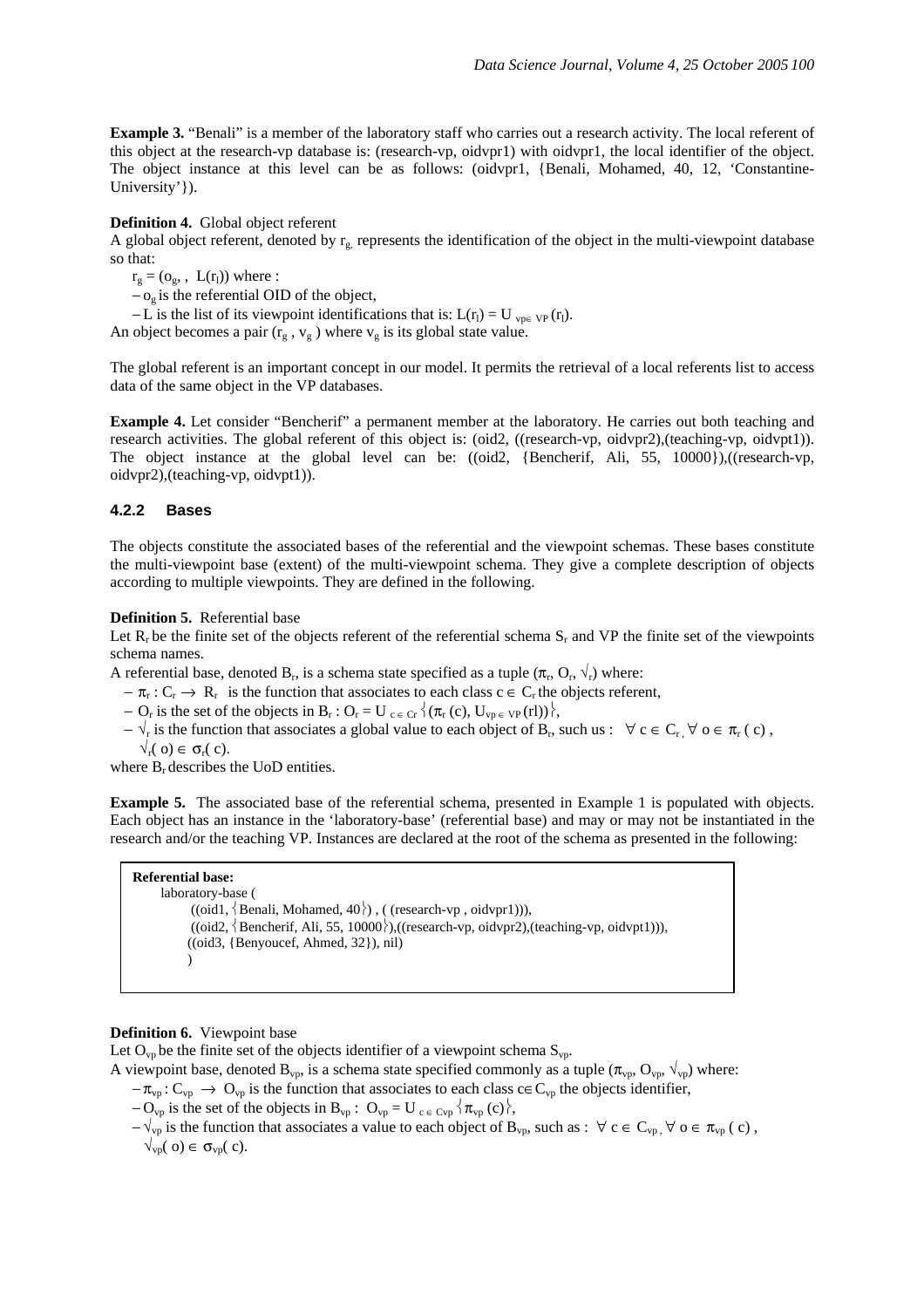**Example 3.** "Benali" is a member of the laboratory staff who carries out a research activity. The local referent of this object at the research-vp database is: (research-vp, oidvpr1) with oidvpr1, the local identifier of the object. The object instance at this level can be as follows: (oidvpr1, {Benali, Mohamed, 40, 12, 'Constantine-University'}).

#### **Definition 4.** Global object referent

A global object referent, denoted by  $r_{g}$ , represents the identification of the object in the multi-viewpoint database so that:

 $r_g = (o_g, L(r_l))$  where :

− og is the referential OID of the object,

 $-L$  is the list of its viewpoint identifications that is:  $L(r_l) = U_{\text{vpe VP}}(r_l)$ .

An object becomes a pair  $(r_g, v_g)$  where  $v_g$  is its global state value.

The global referent is an important concept in our model. It permits the retrieval of a local referents list to access data of the same object in the VP databases.

**Example 4.** Let consider "Bencherif" a permanent member at the laboratory. He carries out both teaching and research activities. The global referent of this object is: (oid2, ((research-vp, oidvpr2),(teaching-vp, oidvpt1)). The object instance at the global level can be: ((oid2, {Bencherif, Ali, 55, 10000}),((research-vp, oidvpr2),(teaching-vp, oidvpt1)).

#### **4.2.2 Bases**

The objects constitute the associated bases of the referential and the viewpoint schemas. These bases constitute the multi-viewpoint base (extent) of the multi-viewpoint schema. They give a complete description of objects according to multiple viewpoints. They are defined in the following.

#### **Definition 5.** Referential base

Let  $R_r$  be the finite set of the objects referent of the referential schema  $S_r$  and VP the finite set of the viewpoints schema names.

A referential base, denoted B<sub>r</sub>, is a schema state specified as a tuple  $(\pi_r, O_r, \sqrt{r})$  where:

- $-\pi_r: C_r \to R_r$  is the function that associates to each class  $c \in C_r$  the objects referent,
- $O_r$  is the set of the objects in B<sub>r</sub> :  $O_r = U_{c \in Cr} \langle (\pi_r(c), U_{vp \in VP}(rl)) \rangle$ ,
- $-\sqrt{r}$  is the function that associates a global value to each object of B<sub>r</sub>, such us :  $\forall c \in C_r$ ,  $\forall o \in \pi_r(c)$ ,  $\sqrt{r}$ ( o)  $\in$   $\sigma_r$ ( c).

where  $B_r$  describes the UoD entities.

**Example 5.** The associated base of the referential schema, presented in Example 1 is populated with objects. Each object has an instance in the 'laboratory-base' (referential base) and may or may not be instantiated in the research and/or the teaching VP. Instances are declared at the root of the schema as presented in the following:

## **Referential base:**

 laboratory-base (  $((oid1, \{Benali, Mohamed, 40\}), ((research-vp,oidvpr1))),$  $((\text{oid2}, \{ \text{Bencherif, Ali}, 55, 10000 \}), ((\text{research-vp,oidvpr2}), (\text{teaching-vp,oidvpt1}))),$ ((oid3, {Benyoucef, Ahmed, 32}), nil) )

#### **Definition 6.** Viewpoint base

Let  $O_{vp}$  be the finite set of the objects identifier of a viewpoint schema  $S_{vp}$ .

A viewpoint base, denoted  $B_{vp}$ , is a schema state specified commonly as a tuple  $(\pi_{vp}, O_{vp}, \sqrt{v_p})$  where:

- $-\pi_{vp}: C_{vp} \to O_{vp}$  is the function that associates to each class c∈  $C_{vp}$  the objects identifier,
- $-$  O<sub>vp</sub> is the set of the objects in B<sub>vp</sub> : O<sub>vp</sub> = U<sub>c ∈ Cvp</sub>  $\{\pi_{vp}(c)\},\$
- $-\sqrt{v_p}$  is the function that associates a value to each object of B<sub>vp</sub>, such as :  $\forall c \in C_{vp}$ ,  $\forall o \in \pi_{vp}(c)$ ,  $\sqrt{\overline{v}}(0) \in \sigma_{vp}(0)$ .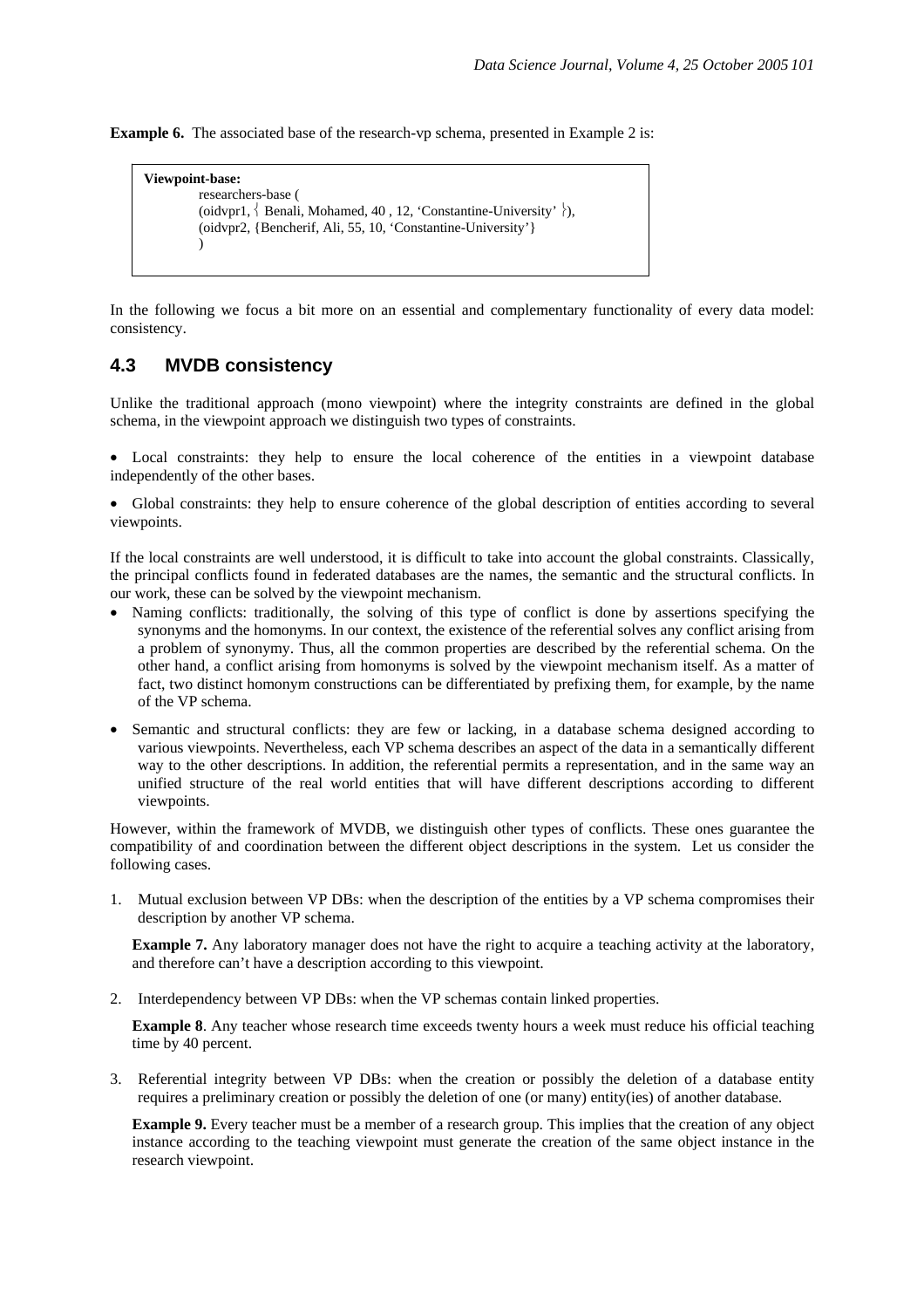**Example 6.** The associated base of the research-vp schema, presented in Example 2 is:

```
Viewpoint-base: 
 researchers-base ( 
(oidvpr1, \{ Benali, Mohamed, 40, 12, 'Constantine-University' \}),
  (oidvpr2, {Bencherif, Ali, 55, 10, 'Constantine-University'} 
\lambda
```
In the following we focus a bit more on an essential and complementary functionality of every data model: consistency.

## **4.3 MVDB consistency**

Unlike the traditional approach (mono viewpoint) where the integrity constraints are defined in the global schema, in the viewpoint approach we distinguish two types of constraints.

• Local constraints: they help to ensure the local coherence of the entities in a viewpoint database independently of the other bases.

• Global constraints: they help to ensure coherence of the global description of entities according to several viewpoints.

If the local constraints are well understood, it is difficult to take into account the global constraints. Classically, the principal conflicts found in federated databases are the names, the semantic and the structural conflicts. In our work, these can be solved by the viewpoint mechanism.

- Naming conflicts: traditionally, the solving of this type of conflict is done by assertions specifying the synonyms and the homonyms. In our context, the existence of the referential solves any conflict arising from a problem of synonymy. Thus, all the common properties are described by the referential schema. On the other hand, a conflict arising from homonyms is solved by the viewpoint mechanism itself. As a matter of fact, two distinct homonym constructions can be differentiated by prefixing them, for example, by the name of the VP schema.
- Semantic and structural conflicts: they are few or lacking, in a database schema designed according to various viewpoints. Nevertheless, each VP schema describes an aspect of the data in a semantically different way to the other descriptions. In addition, the referential permits a representation, and in the same way an unified structure of the real world entities that will have different descriptions according to different viewpoints.

However, within the framework of MVDB, we distinguish other types of conflicts. These ones guarantee the compatibility of and coordination between the different object descriptions in the system. Let us consider the following cases.

1. Mutual exclusion between VP DBs: when the description of the entities by a VP schema compromises their description by another VP schema.

**Example 7.** Any laboratory manager does not have the right to acquire a teaching activity at the laboratory, and therefore can't have a description according to this viewpoint.

2. Interdependency between VP DBs: when the VP schemas contain linked properties.

**Example 8**. Any teacher whose research time exceeds twenty hours a week must reduce his official teaching time by 40 percent.

3. Referential integrity between VP DBs: when the creation or possibly the deletion of a database entity requires a preliminary creation or possibly the deletion of one (or many) entity(ies) of another database.

**Example 9.** Every teacher must be a member of a research group. This implies that the creation of any object instance according to the teaching viewpoint must generate the creation of the same object instance in the research viewpoint.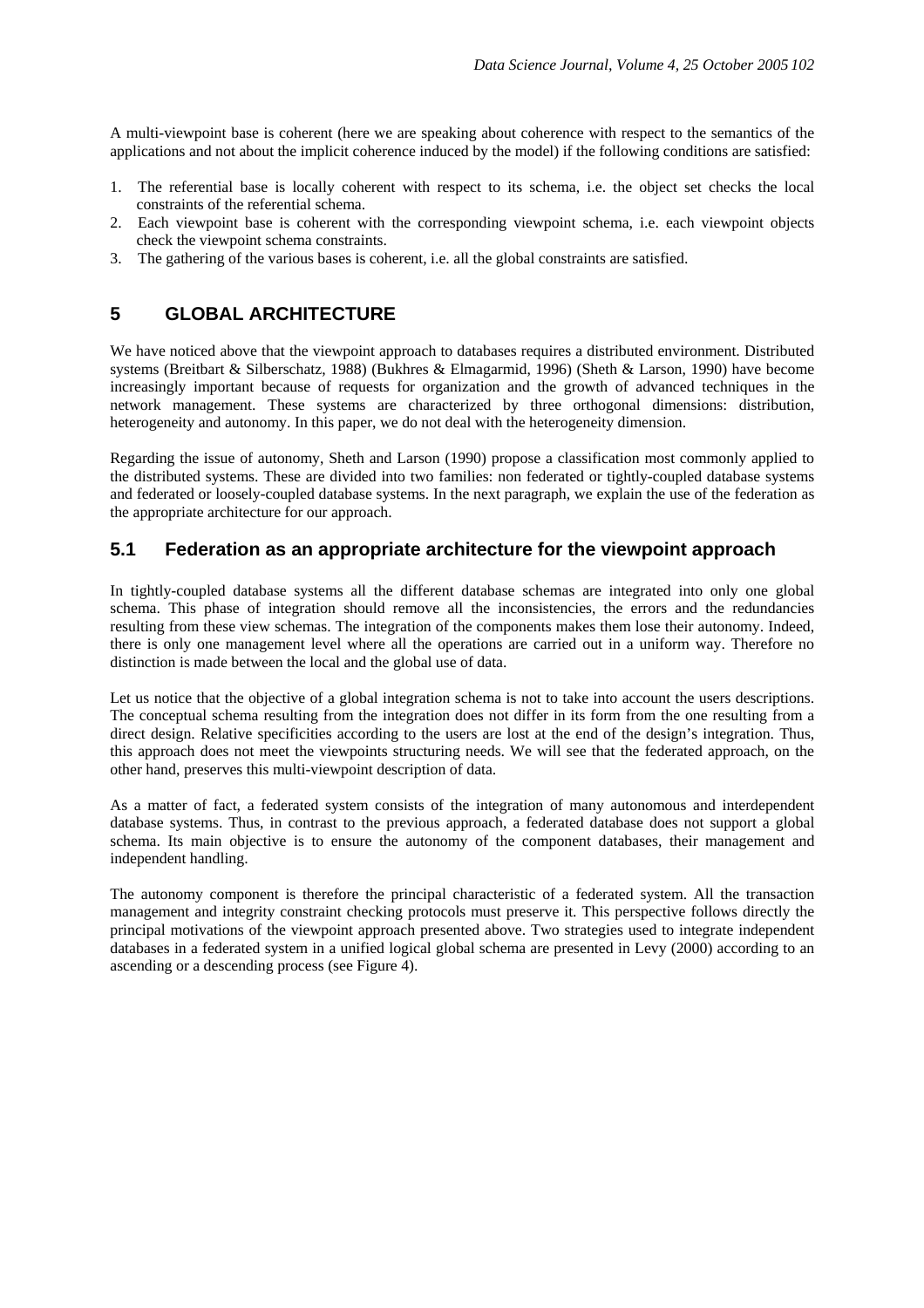A multi-viewpoint base is coherent (here we are speaking about coherence with respect to the semantics of the applications and not about the implicit coherence induced by the model) if the following conditions are satisfied:

- 1. The referential base is locally coherent with respect to its schema, i.e. the object set checks the local constraints of the referential schema.
- 2. Each viewpoint base is coherent with the corresponding viewpoint schema, i.e. each viewpoint objects check the viewpoint schema constraints.
- 3. The gathering of the various bases is coherent, i.e. all the global constraints are satisfied.

## **5 GLOBAL ARCHITECTURE**

We have noticed above that the viewpoint approach to databases requires a distributed environment. Distributed systems (Breitbart & Silberschatz, 1988) (Bukhres & Elmagarmid, 1996) (Sheth & Larson, 1990) have become increasingly important because of requests for organization and the growth of advanced techniques in the network management. These systems are characterized by three orthogonal dimensions: distribution, heterogeneity and autonomy. In this paper, we do not deal with the heterogeneity dimension.

Regarding the issue of autonomy, Sheth and Larson (1990) propose a classification most commonly applied to the distributed systems. These are divided into two families: non federated or tightly-coupled database systems and federated or loosely-coupled database systems. In the next paragraph, we explain the use of the federation as the appropriate architecture for our approach.

### **5.1 Federation as an appropriate architecture for the viewpoint approach**

In tightly-coupled database systems all the different database schemas are integrated into only one global schema. This phase of integration should remove all the inconsistencies, the errors and the redundancies resulting from these view schemas. The integration of the components makes them lose their autonomy. Indeed, there is only one management level where all the operations are carried out in a uniform way. Therefore no distinction is made between the local and the global use of data.

Let us notice that the objective of a global integration schema is not to take into account the users descriptions. The conceptual schema resulting from the integration does not differ in its form from the one resulting from a direct design. Relative specificities according to the users are lost at the end of the design's integration. Thus, this approach does not meet the viewpoints structuring needs. We will see that the federated approach, on the other hand, preserves this multi-viewpoint description of data.

As a matter of fact, a federated system consists of the integration of many autonomous and interdependent database systems. Thus, in contrast to the previous approach, a federated database does not support a global schema. Its main objective is to ensure the autonomy of the component databases, their management and independent handling.

The autonomy component is therefore the principal characteristic of a federated system. All the transaction management and integrity constraint checking protocols must preserve it. This perspective follows directly the principal motivations of the viewpoint approach presented above. Two strategies used to integrate independent databases in a federated system in a unified logical global schema are presented in Levy (2000) according to an ascending or a descending process (see Figure 4).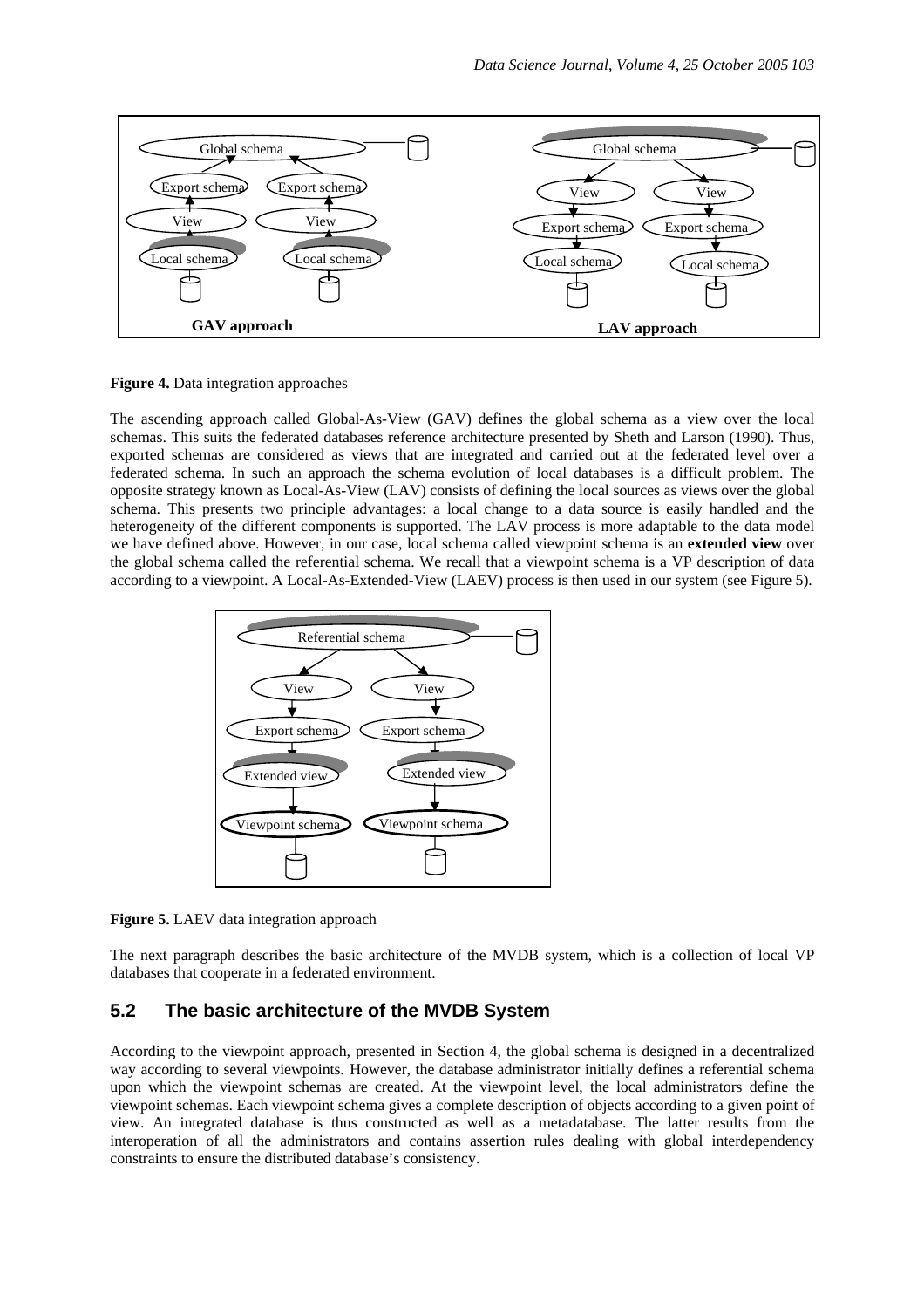

**Figure 4.** Data integration approaches

The ascending approach called Global-As-View (GAV) defines the global schema as a view over the local schemas. This suits the federated databases reference architecture presented by Sheth and Larson (1990). Thus, exported schemas are considered as views that are integrated and carried out at the federated level over a federated schema. In such an approach the schema evolution of local databases is a difficult problem. The opposite strategy known as Local-As-View (LAV) consists of defining the local sources as views over the global schema. This presents two principle advantages: a local change to a data source is easily handled and the heterogeneity of the different components is supported. The LAV process is more adaptable to the data model we have defined above. However, in our case, local schema called viewpoint schema is an **extended view** over the global schema called the referential schema. We recall that a viewpoint schema is a VP description of data according to a viewpoint. A Local-As-Extended-View (LAEV) process is then used in our system (see Figure 5).



**Figure 5.** LAEV data integration approach

The next paragraph describes the basic architecture of the MVDB system, which is a collection of local VP databases that cooperate in a federated environment.

## **5.2 The basic architecture of the MVDB System**

According to the viewpoint approach, presented in Section 4, the global schema is designed in a decentralized way according to several viewpoints. However, the database administrator initially defines a referential schema upon which the viewpoint schemas are created. At the viewpoint level, the local administrators define the viewpoint schemas. Each viewpoint schema gives a complete description of objects according to a given point of view. An integrated database is thus constructed as well as a metadatabase. The latter results from the interoperation of all the administrators and contains assertion rules dealing with global interdependency constraints to ensure the distributed database's consistency.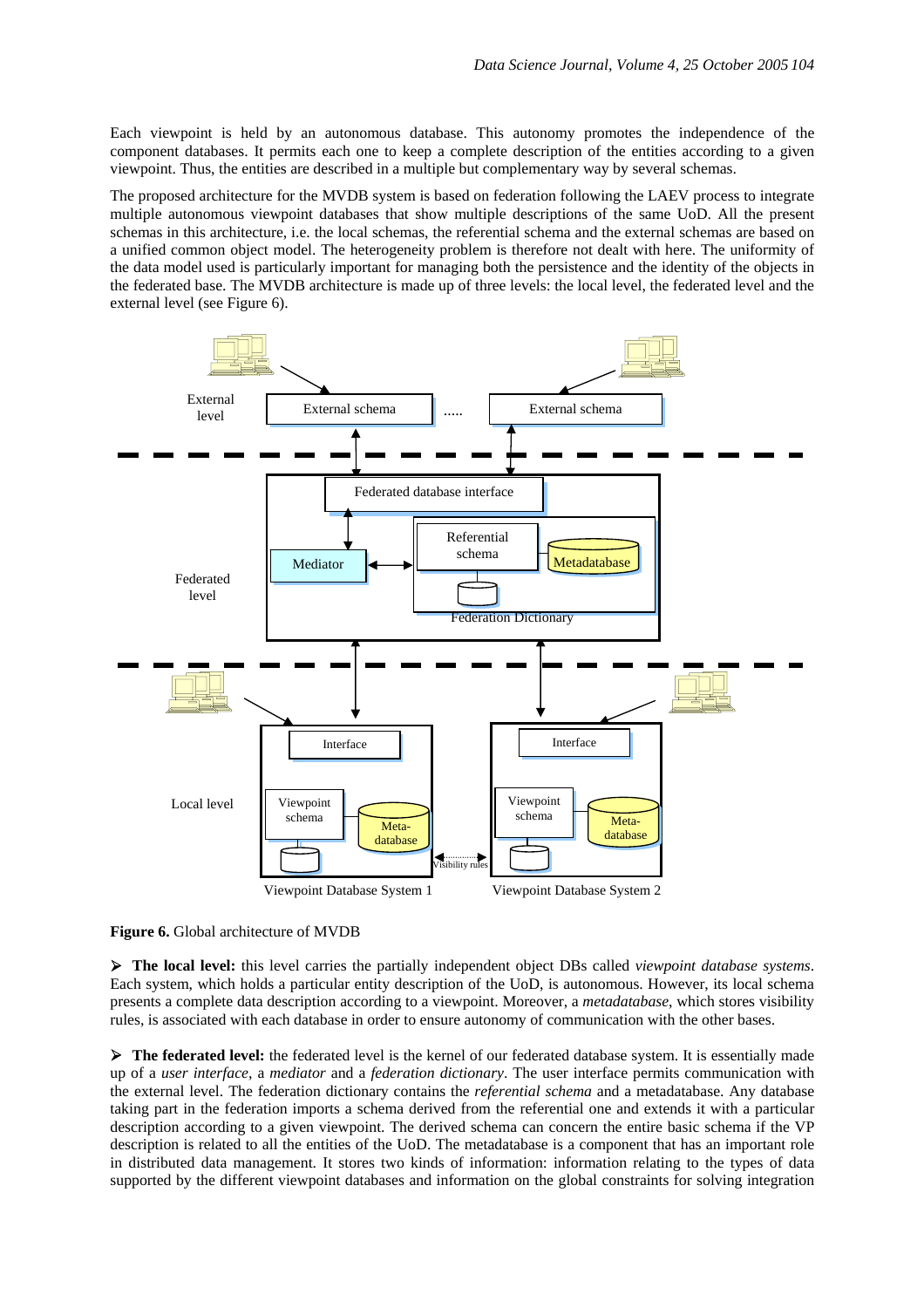Each viewpoint is held by an autonomous database. This autonomy promotes the independence of the component databases. It permits each one to keep a complete description of the entities according to a given viewpoint. Thus, the entities are described in a multiple but complementary way by several schemas.

The proposed architecture for the MVDB system is based on federation following the LAEV process to integrate multiple autonomous viewpoint databases that show multiple descriptions of the same UoD. All the present schemas in this architecture, i.e. the local schemas, the referential schema and the external schemas are based on a unified common object model. The heterogeneity problem is therefore not dealt with here. The uniformity of the data model used is particularly important for managing both the persistence and the identity of the objects in the federated base. The MVDB architecture is made up of three levels: the local level, the federated level and the external level (see Figure 6).



**Figure 6.** Global architecture of MVDB

¾ **The local level:** this level carries the partially independent object DBs called *viewpoint database systems*. Each system, which holds a particular entity description of the UoD, is autonomous. However, its local schema presents a complete data description according to a viewpoint. Moreover, a *metadatabase*, which stores visibility rules, is associated with each database in order to ensure autonomy of communication with the other bases.

¾ **The federated level:** the federated level is the kernel of our federated database system. It is essentially made up of a *user interface*, a *mediator* and a *federation dictionary*. The user interface permits communication with the external level. The federation dictionary contains the *referential schema* and a metadatabase. Any database taking part in the federation imports a schema derived from the referential one and extends it with a particular description according to a given viewpoint. The derived schema can concern the entire basic schema if the VP description is related to all the entities of the UoD. The metadatabase is a component that has an important role in distributed data management. It stores two kinds of information: information relating to the types of data supported by the different viewpoint databases and information on the global constraints for solving integration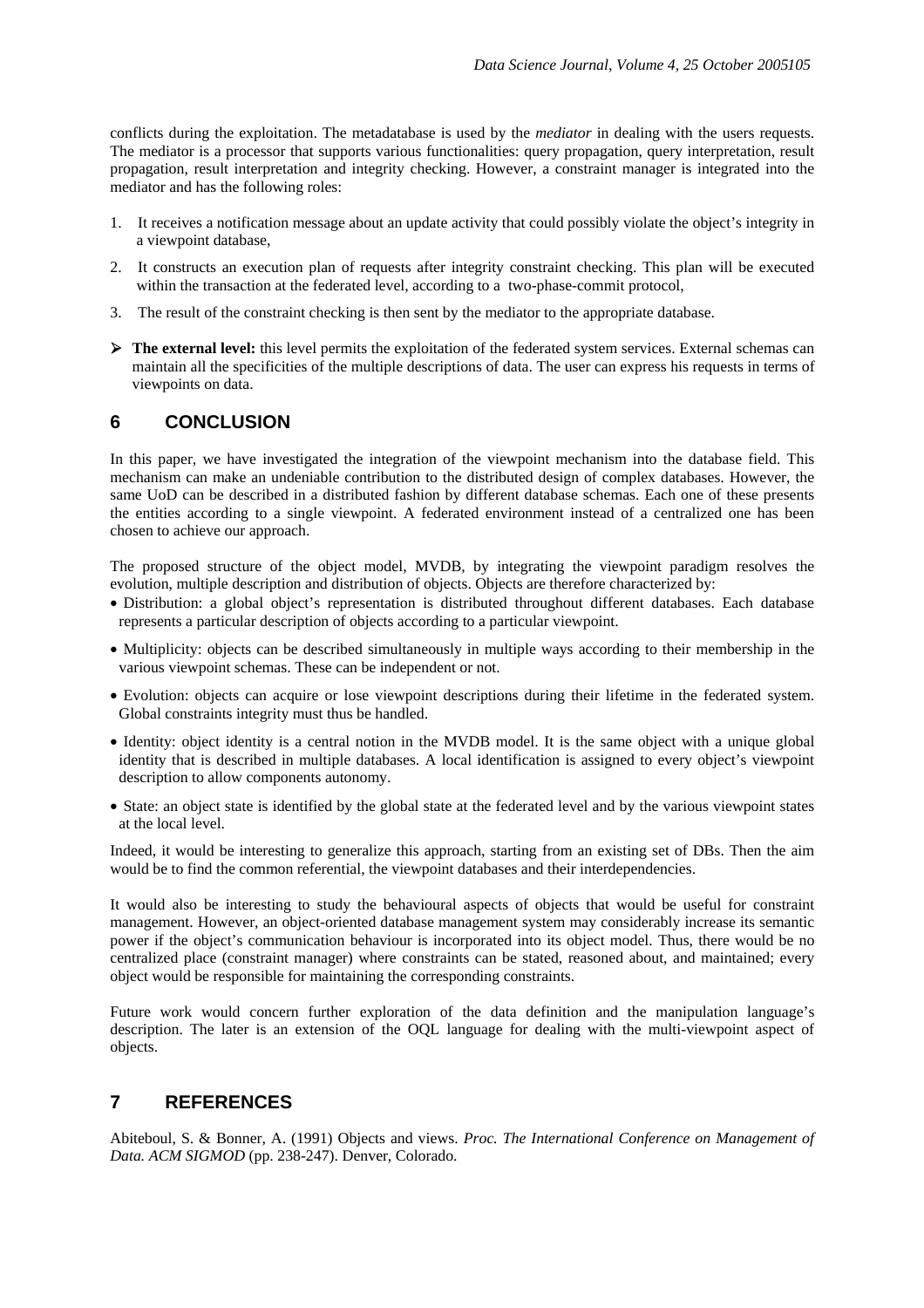conflicts during the exploitation. The metadatabase is used by the *mediator* in dealing with the users requests. The mediator is a processor that supports various functionalities: query propagation, query interpretation, result propagation, result interpretation and integrity checking. However, a constraint manager is integrated into the mediator and has the following roles:

- 1. It receives a notification message about an update activity that could possibly violate the object's integrity in a viewpoint database,
- 2. It constructs an execution plan of requests after integrity constraint checking. This plan will be executed within the transaction at the federated level, according to a two-phase-commit protocol,
- 3. The result of the constraint checking is then sent by the mediator to the appropriate database.
- ¾ **The external level:** this level permits the exploitation of the federated system services. External schemas can maintain all the specificities of the multiple descriptions of data. The user can express his requests in terms of viewpoints on data.

## **6 CONCLUSION**

In this paper, we have investigated the integration of the viewpoint mechanism into the database field. This mechanism can make an undeniable contribution to the distributed design of complex databases. However, the same UoD can be described in a distributed fashion by different database schemas. Each one of these presents the entities according to a single viewpoint. A federated environment instead of a centralized one has been chosen to achieve our approach.

The proposed structure of the object model, MVDB, by integrating the viewpoint paradigm resolves the evolution, multiple description and distribution of objects. Objects are therefore characterized by:

- Distribution: a global object's representation is distributed throughout different databases. Each database represents a particular description of objects according to a particular viewpoint.
- Multiplicity: objects can be described simultaneously in multiple ways according to their membership in the various viewpoint schemas. These can be independent or not.
- Evolution: objects can acquire or lose viewpoint descriptions during their lifetime in the federated system. Global constraints integrity must thus be handled.
- Identity: object identity is a central notion in the MVDB model. It is the same object with a unique global identity that is described in multiple databases. A local identification is assigned to every object's viewpoint description to allow components autonomy.
- State: an object state is identified by the global state at the federated level and by the various viewpoint states at the local level.

Indeed, it would be interesting to generalize this approach, starting from an existing set of DBs. Then the aim would be to find the common referential, the viewpoint databases and their interdependencies.

It would also be interesting to study the behavioural aspects of objects that would be useful for constraint management. However, an object-oriented database management system may considerably increase its semantic power if the object's communication behaviour is incorporated into its object model. Thus, there would be no centralized place (constraint manager) where constraints can be stated, reasoned about, and maintained; every object would be responsible for maintaining the corresponding constraints.

Future work would concern further exploration of the data definition and the manipulation language's description. The later is an extension of the OQL language for dealing with the multi-viewpoint aspect of objects.

## **7 REFERENCES**

Abiteboul, S. & Bonner, A. (1991) Objects and views. *Proc. The International Conference on Management of Data. ACM SIGMOD* (pp. 238-247). Denver, Colorado.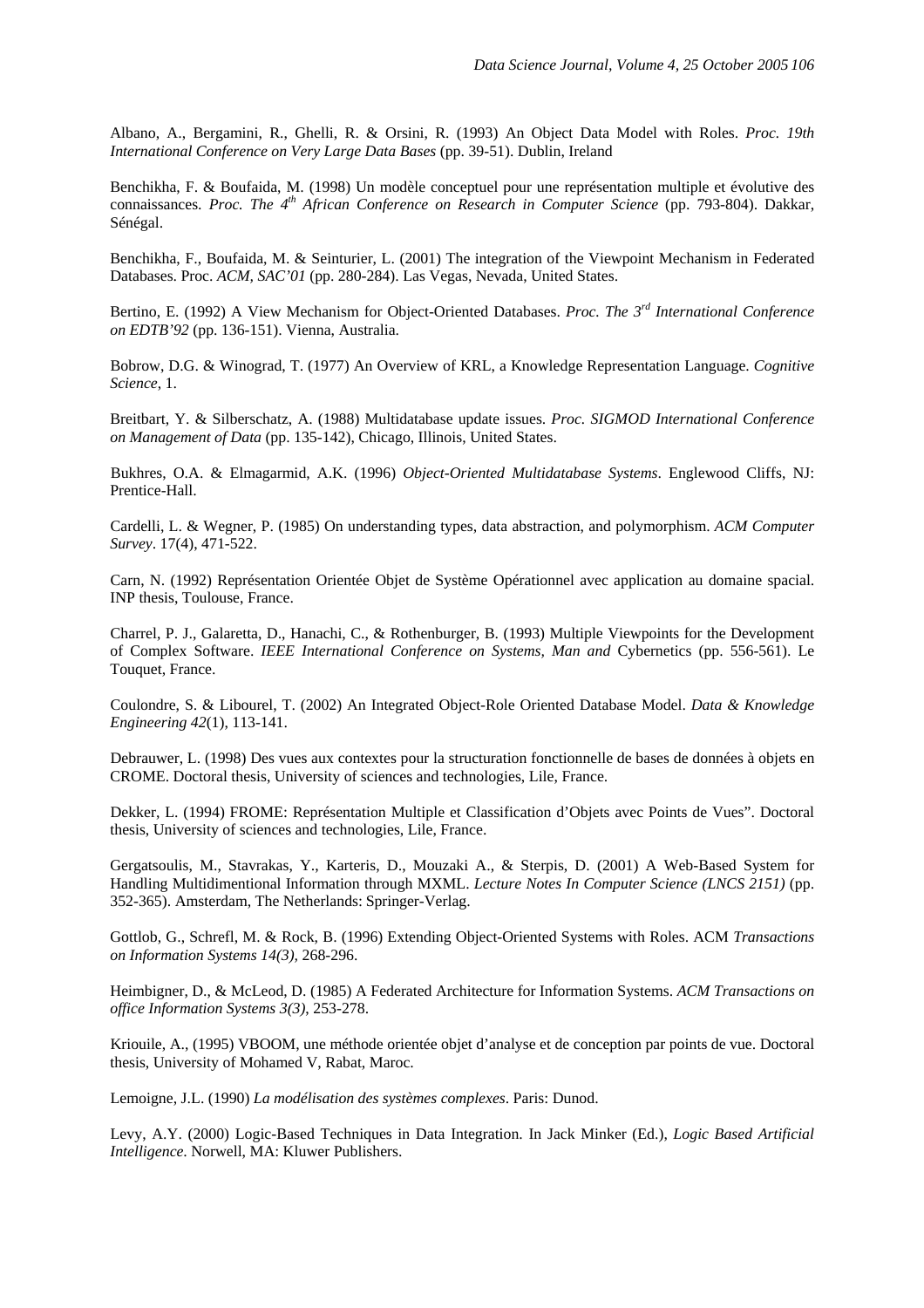Albano, A., Bergamini, R., Ghelli, R. & Orsini, R. (1993) An Object Data Model with Roles. *Proc. 19th International Conference on Very Large Data Bases* (pp. 39-51). Dublin, Ireland

Benchikha, F. & Boufaida, M. (1998) Un modèle conceptuel pour une représentation multiple et évolutive des connaissances. *Proc. The 4th African Conference on Research in Computer Science* (pp. 793-804). Dakkar, Sénégal.

Benchikha, F., Boufaida, M. & Seinturier, L. (2001) The integration of the Viewpoint Mechanism in Federated Databases. Proc. *ACM, SAC'01* (pp. 280-284). Las Vegas, Nevada, United States.

Bertino, E. (1992) A View Mechanism for Object-Oriented Databases. *Proc. The 3rd International Conference on EDTB'92* (pp. 136-151). Vienna, Australia.

Bobrow, D.G. & Winograd, T. (1977) An Overview of KRL, a Knowledge Representation Language. *Cognitive Science*, 1.

Breitbart, Y. & Silberschatz, A. (1988) Multidatabase update issues. *Proc. SIGMOD International Conference on Management of Data* (pp. 135-142), Chicago, Illinois, United States.

Bukhres, O.A. & Elmagarmid, A.K. (1996) *Object-Oriented Multidatabase Systems*. Englewood Cliffs, NJ: Prentice-Hall.

Cardelli, L. & Wegner, P. (1985) On understanding types, data abstraction, and polymorphism. *ACM Computer Survey*. 17(4), 471-522.

Carn, N. (1992) Représentation Orientée Objet de Système Opérationnel avec application au domaine spacial. INP thesis, Toulouse, France.

Charrel, P. J., Galaretta, D., Hanachi, C., & Rothenburger, B. (1993) Multiple Viewpoints for the Development of Complex Software. *IEEE International Conference on Systems, Man and* Cybernetics (pp. 556-561). Le Touquet, France.

Coulondre, S. & Libourel, T. (2002) An Integrated Object-Role Oriented Database Model. *Data & Knowledge Engineering 42*(1), 113-141.

Debrauwer, L. (1998) Des vues aux contextes pour la structuration fonctionnelle de bases de données à objets en CROME. Doctoral thesis, University of sciences and technologies, Lile, France.

Dekker, L. (1994) FROME: Représentation Multiple et Classification d'Objets avec Points de Vues". Doctoral thesis, University of sciences and technologies, Lile, France.

Gergatsoulis, M., Stavrakas, Y., Karteris, D., Mouzaki A., & Sterpis, D. (2001) A Web-Based System for Handling Multidimentional Information through MXML. *Lecture Notes In Computer Science (LNCS 2151)* (pp. 352-365). Amsterdam, The Netherlands: Springer-Verlag.

Gottlob, G., Schrefl, M. & Rock, B. (1996) Extending Object-Oriented Systems with Roles. ACM *Transactions on Information Systems 14(3),* 268-296.

Heimbigner, D., & McLeod, D. (1985) A Federated Architecture for Information Systems. *ACM Transactions on office Information Systems 3(3)*, 253-278.

Kriouile, A., (1995) VBOOM, une méthode orientée objet d'analyse et de conception par points de vue. Doctoral thesis, University of Mohamed V, Rabat, Maroc.

Lemoigne, J.L. (1990) *La modélisation des systèmes complexes*. Paris: Dunod.

Levy, A.Y. (2000) Logic-Based Techniques in Data Integration. In Jack Minker (Ed.), *Logic Based Artificial Intelligence*. Norwell, MA: Kluwer Publishers.